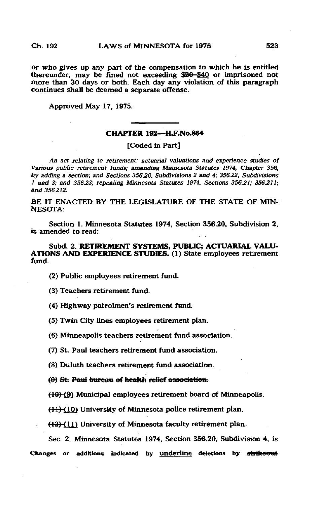Or who gives up any part of the compensation to which he is entitled thereunder, may be fined not exceeding \$30-\$40 or imprisoned not more than 30 days or both. Each day any violation of this paragraph continues shall be deemed a separate offense.

Approved May 17, 1975.

## CHAPTER 192—H.F.No.864

[Coded in Part]

An act relating to retirement; actuarial valuations and experience studies of various public retirement funds; amending Minnesota Statutes 1974, Chapter 356, by adding a section; and Sections 356.20, Subdivisions 2 and 4; 356.22, Subdivisions 1 and 3; and 356.23;. repealing Minnesota Statutes 1974, Sections 356,21; 356.211; and 356.212.

BE IT ENACTED BY THE LEGISLATURE OF THE STATE OF MIN-NESOTA:

Section 1. Minnesota Statutes 1974, Section 356.20, Subdivision 2, is amended to read:

Subd. 2. RETIREMENT SYSTEMS, PUBLIC; ACTUARIAL VALU-ATIONS AND EXPERIENCE STUDIES. (1) State employees retirement fund.

(2) Public employees retirement fund.

(3) Teachers retirement fund.

(4) Highway patrolmen's retirement fund.

(5) Twin City lines employees retirement plan.

(6) Minneapolis teachers retirement fund association.

(7) St. Paul teachers retirement fund association.

(8) Duluth teachers retirement fund association,

 $(0)$  St. Paul bureau of health relief association.

(10)(9) Municipal employees retirement board of Minneapolis.

 $(11)$  (10) University of Minnesota police retirement plan.

 $(12)$  (11) University of Minnesota faculty retirement plan.

Sec. 2. Minnesota Statutes 1974, Section 356.20, Subdivision 4, is Changes or additions indicated by underline deletions by strikeout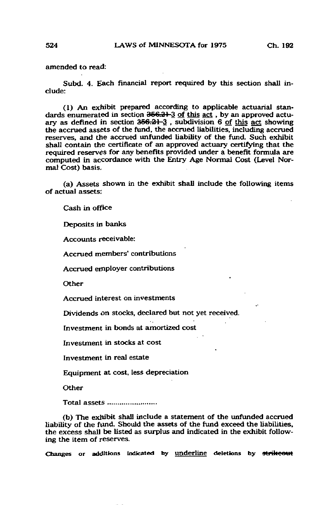amended to read:

Subd. 4. Each financial report required by this section shall include:

(1) An exhibit prepared according to applicable actuarial standards enumerated in section 366.31 3 of this act , by an approved actuary as defined in section  $356.21-3$ , subdivision 6 of this act showing the accrued assets of the fund, the accrued liabilities, including accrued reserves, and the accrued unfunded liability of the fund. Such exhibit shall contain the certificate of an approved actuary certifying that the required reserves for any benefits provided under a benefit formula are computed in accordance with the Entry Age Normal Cost (Level Normal Cost) basis.

(a) Assets shown in the exhibit shall include the following items of actual assets;

Cash in office

Deposits in banks

Accounts receivable:

Accrued members' contributions

Accrued employer contributions

Other

Accrued interest on investments

Dividends on stocks, declared but not yet received.

Investment in bonds at amortized cost

Investment in stocks at cost

Investment in real estate

Equipment at cost, less depreciation

**Other** 

Total assets ..........................

(b) The exhibit shall include a statement of the unfunded accrued liability of the fund. Should the assets of the fund exceed the liabilities, the excess shall be listed as surplus and indicated in the exhibit following the item of reserves.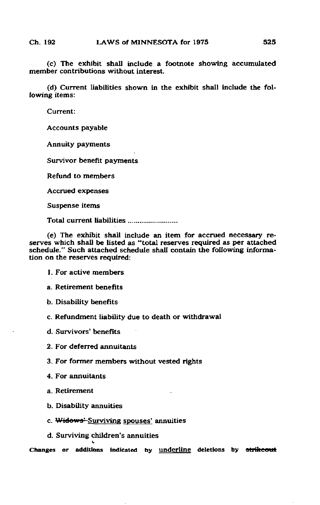(c) The exhibit shall include a footnote showing accumulated member contributions without interest.

(d) Current liabilities shown in the exhibit shall include the following items:

Current:

Accounts payable

Annuity payments

Survivor benefit payments

Refund to members

Accrued expenses

Suspense items

Total current liabilities .........................

(e) The exhibit shall include an item for accrued necessary reserves which shall be listed as "total reserves required as per attached schedule." Such attached schedule shall contain the following information on the reserves required:

- 1. For active members
- a. Retirement benefits
- b. Disability benefits
- c. Refundment liability due to death or withdrawal

d. Survivors' benefits

- 2. For deferred annuitants
- 3. For former members without vested rights
- 4. For annuitants
- a. Retirement
- b. Disability annuities
- c. Widows' Surviving spouses' annuities
- d. Surviving children's annuities t,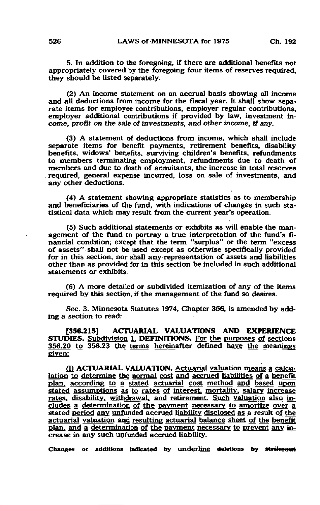5. In addition to the foregoing, if there are additional benefits not appropriately covered by the foregoing four items of reserves required, they should be listed separately.

(2) An income statement on an accrual basis showing all income and all deductions from income for the fiscal year. It shall show separate items for employee contributions, employer regular contributions, employer additional contributions if provided by law, investment income, profit on the sale of investments, and other income, if any.

(3) A statement of deductions from income, which shall include separate items for benefit payments, retirement benefits, disability benefits, widows' benefits, surviving children's benefits, refundments to members terminating employment, refundments due to death of members and due to death of annuitants, the increase in total reserves required, general expense incurred, loss on sale of investments, and any other deductions.

(4) A statement showing appropriate statistics as to membership and beneficiaries of the fund, with indications of changes in such statistical data which may result from the current year's operation.

(5) Such additional statements or exhibits as will enable the management of the fund to portray a true interpretation of the fund's financial condition; except that the term "surplus" or the term "excess of assets" shall not be used except as otherwise specifically provided for in this section, nor shall any representation of assets and liabilities other than as provided for in this section be included in such additional statements or exhibits.

(6) A more detailed or subdivided itemization of any of the items required by this section, if the management of the fund so desires.

Sec. 3. Minnesota Statutes 1974, Chapter 356, is amended by adding a section to read:

[356.215] ACTUARIAL VALUATIONS AND EXPERIENCE STUDIES. Subdivision L DEFINITIONS. For the purposes of sections 356.20 to 356.23 the terms hereinafter defined have the meanings given:

0) ACTUARIAL VALUATION. Actuarial valuation means a calculation to determine the normal cost and accrued liabilities of a benefit plan, according to a stated actuarial cost method and based upon stated assumptions as to rates of interest, mortality, salary increase rates, disability, withdrawal, and retirement. Such valuation also includes a determination of the payment necessary to amortize over a stated period any unfunded accrued liability disclosed as a result of the actuarial valuation and resulting actuarial balance sheet of the benefit plan, and a determination of the payment necessary to prevent any increase in any such unfunded accrued liability.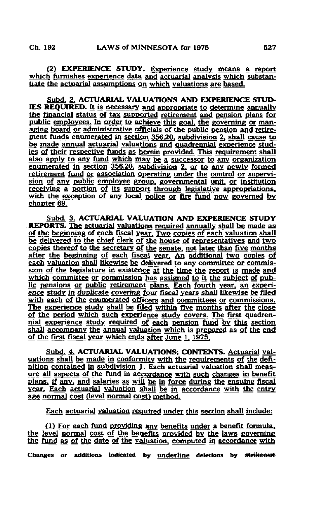(2) EXPERIENCE STUDY. Experience study means a report which furnishes experience data and actuarial analysis which substantiate the actuarial assumptions on which valuations are based.

Subd. 2, ACTUARIAL VALUATIONS AND EXPERIENCE STUD-IES REQUIRED. It is necessary and appropriate to determine annually the financial status of tax supported retirement and pension plans for public employees. In order to achieve this goal, the governing or managing board or administrative officials of the public pension and retirement funds enumerated in section 356.20. subdivision 2, shall cause to be made annual actuarial valuations and quadrennial experience studies of their respective funds as herein provided. This requirement shall also apply to any fund which may be a successor to any organization enumerated in section 356.20. subdivision 2, or to any newly formed retirement fund or association operating under the control or supervision of any public employee group, governmental unit, or institution receiving a portion of its support through legislative appropriations, with the exception of any local police or fire fund now governed by chapter 69.

Subd. 3, ACTUARIAL VALUATION AND EXPERIENCE STUDY .REPORTS. The actuarial valuations required annually shall be made as of the beginning of each fiscal year. Two copies of each valuation shall be delivered to the chief clerk of the house of representatives and two copies thereof to the secretary of the senate, not later than five months after the beginning of each fiscal year. An additional two copies of each valuation shall likewise be delivered to any committee or commission of the legislature in existence at the time the report is made and which committee or commission has assigned to it the subject of public pensions or public retirement plans. Each fourth year, an experience study in duplicate covering four fiscal years shall likewise be filed with each of the enumerated officers and committees or commissions. The experience study shall be filed within five months after the close of the period which such experience study covers. The first quadrennial experience study required of each pension fund by this section shall accompany the annual valuation which is prepared as of the end of the first fiscal year which ends after June 1, 1975.

Subd. 4, ACTUARIAL VALUATIONS; CONTENTS. Actuarial valuations shall be made in conformity with the requirements of the definition contained in subdivision i. Each actuarial valuation shall measure all aspects of the fund in accordance with such changes in benefit plans, if any, and salaries as will be in force during the ensuing fiscal year. Each actuarial valuation shall be in accordance with the entry age normal cost (level normal cost) method.

Each actuarial valuation required under this section shall include:

 $(1)$  For each fund providing any benefits under a benefit formula, the level normal cost of the benefits provided by the laws governing the fund as of the date of the valuation, computed in accordance with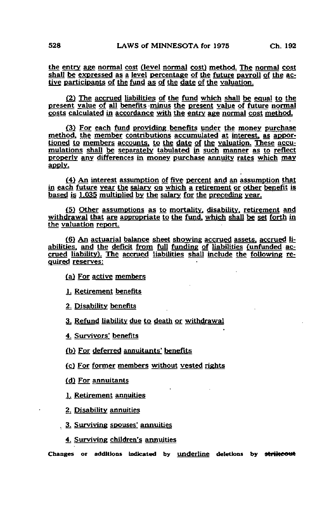the entry age normal cost (level normal cost) method. The normal cost shall be expressed as a level percentage of the future payroll of the active participants of the fund as of the date of the valuation.

(2) The accrued liabilities of the fund which shall be equal to the present value of all benefits minus the present value of future normal costs calculated in accordance with the entry age normal cost method.

(3) For each fund providing benefits under the money purchase method, the member contributions accumulated at interest, as apportioned to members accounts, to the date of the valuation. These accumulations shall be separately tabulated in such manner as to reflect properly any differences in money purchase annuity rates which may apply.

(4) An interest assumption of five percent and an assumption that in each future year the salary on which a retirement or other benefit is based is 1.035 multiplied by the salary for the preceding year.

(5) Other assumptions as to mortality, disability, retirement and withdrawal that are appropriate to the fund, which shall be set forth in the valuation report.

(6) An actuarial balance sheet showing accrued assets, accrued It abilities, and the deficit from full funding of liabilities (unfunded accrued liability). The accrued liabilities shall include the following required reserves:

(a) For active members

1; Retirement benefits

2. Disability benefits

3. Refund liability due to death or withdrawal

4. Survivors' benefits

{b) For deferred annuitants' benefits

(cj For former members without vested rights

(dj For annuitants

1. Retirement annuities

2. Disability annuities

. 3. Surviving spouses' annuities

4. Surviving children's annuities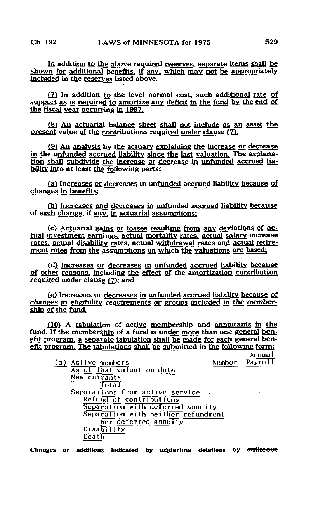In addition to the above required reserves, separate items shall be shown for additional benefits, if any, which may pot be appropriately included in the reserves listed above.

(7) In addition to the level normal cost, such additional rate of support as is required to amortize any deficit in the fund by the end of the fiscal year occurring in 1997.

(8) An actuarial balance sheet shall not include as an asset the present value of the contributions required under clause  $(7)$ .

(9) An analysis by the actuary explaining the increase or decrease in the unfunded accrued liability since the last valuation. The explanation shall subdivide the increase or decrease in unfunded accrued liability into at least the following parts:

(a) Increases or decreases in unfunded accrued liability because of changes in benefits:

(b) Increases and decreases in unfunded accrued liability because of each change, if any, in actuarial assumptions:

(c) Actuarial gains or losses resulting from any deviations of ac; tual investment earnings, actual mortality rates, actual salary increase rates, actual disability rates, actual withdrawal rates and actual retirement rates from the assumptions on which the valuations are based;

(d) Increases or decreases in unfunded accrued liability because of other reasons, including the effect of the amortization contribution required under clause  $(7)$ ; and

£e) Increases or decreases in unfunded accrued liability because of changes in eligibility requirements or groups included in the membership of the fund,

(10) A tabulation of active membership and annuitants in the fund. If the membership of a fund is under more than one general benefit program, a separate tabulation shall be made for each general benefit program. The tabulations shall be submitted in the following form:

 $\mathcal{C}_{\mathcal{A}}$ 

 $\mathcal{L}^{\mathcal{L}}$ 

Annual<br>Payroll

| (a) | Active members                     |  |
|-----|------------------------------------|--|
|     | As of last valuation date          |  |
|     | New entrants                       |  |
|     | Total                              |  |
|     | Separations from active service    |  |
|     | Refund of contributions            |  |
|     | Separation with deferred annuity   |  |
|     | Separation with neither refundment |  |
|     | hor deferred annuity               |  |
|     | Disability                         |  |
|     | Death                              |  |
|     |                                    |  |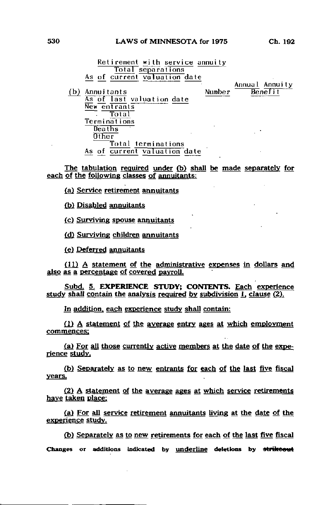## 530 LAWS of MINNESOTA for 1975 Ch. 192

Retirement with service annuity Total separations As of current valuation date (b) Annuitants Number As of last valuat ion date

Annual Annuity<br>Benefit

New entrants Total Terminations Deaths  $0$ ther Total terminations As of current valuation date

The tabulation required under (b) shall be made separately for each of the following classes of annuitants:

(a) Service retirement annuitants

(b) Disabled annuitants

(c) Surviving spouse annuitants

(d) Survivine children annuitants

(e) Deferred annuitants

(11) A statement of the administrative expenses in dollars and also as a percentage of covered payroll.

Subd. 5, EXPERIENCE STUDY; CONTENTS. Each experience study shall contain the analysis required by subdivision 1. clause (2).

In addition, each experience study shall contain:

£1) A statement of the average entry ages at which employment commences:

(a) For all those currently active members at the date of the experience study.

(b) Separately as to new entrants for each of the last five fiscal years.

(2) A statement of the average ages at which service retirements have taken place:

£a) For all service retirement annuitants living at the date of the experience study.

(b) Separately as to new retirements for each of the last five fiscal Changes or additions indicated by underline deletions by strikeout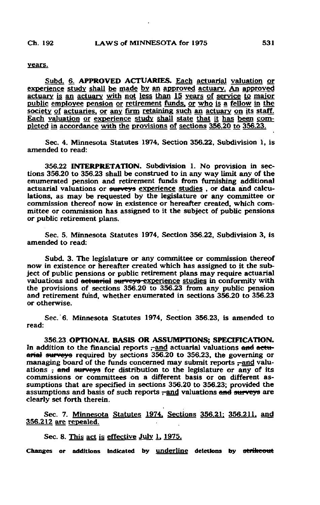## years.

Subd. 6. APPROVED ACTUARIES. Each actuarial valuation or experience study shall be made by an approved actuary. An approved actuary is an actuary with not less than 15 years of service to major public employee pension or retirement funds, or who is a fellow in the society of actuaries, or any firm retaining such an actuary on its staff. Each valuation or experience study shall state that it has been completed in accordance with the provisions of sections 356.20 to 356.23.

Sec. 4. Minnesota Statutes 1974, Section 356.22, Subdivision 1, is amended to read:

356.22 INTERPRETATION. Subdivision 1. No provision in sections 356.20 to 356.23 shall be construed to in any way limit any of the enumerated pension and retirement funds from furnishing additional actuarial valuations or surveys experience studies , or data and calculations, as may be requested by the legislature or any committee or commission thereof now in existence or hereafter created, which committee or commission has assigned to it the subject of public pensions or public retirement plans.

Sec. 5. Minnesota Statutes 1974, Section 356.22, Subdivision 3, is amended to read:

Subd. 3. The legislature or any committee or commission thereof now in existence or hereafter created which has assigned to it the subject of public pensions or public retirement plans may require actuarial valuations and actuarial surveys-experience studies in conformity with the provisions of sections 356.20 to 356.23 from any public pension and retirement fund, whether enumerated in sections 356.20 to 356.23 or otherwise.

Sec. 6. Minnesota Statutes 1974, Section 356.23, is amended to read:

356.23 OPTIONAL BASIS OR ASSUMPTIONS; SPECIFICATION. In addition to the financial reports -and actuarial valuations and actuarial surveys required by sections 356.20 to 356.23, the governing or managing board of the funds concerned may submit reports  $-$ and valuations  $\frac{1}{2}$  and surveys for distribution to the legislature or any of its commissions or committees on a different basis or on different assumptions that are specified in sections 356.20 to 356.23; provided the assumptions and basis of such reports  $\frac{1}{2}$  and valuations and surveys are clearly set forth therein.

Sec. 7. Minnesota Statutes 1974. Sections 356.21: 356.211. and 356.212 are repealed.

Sec. 8. This act is effective July 1, 1975.